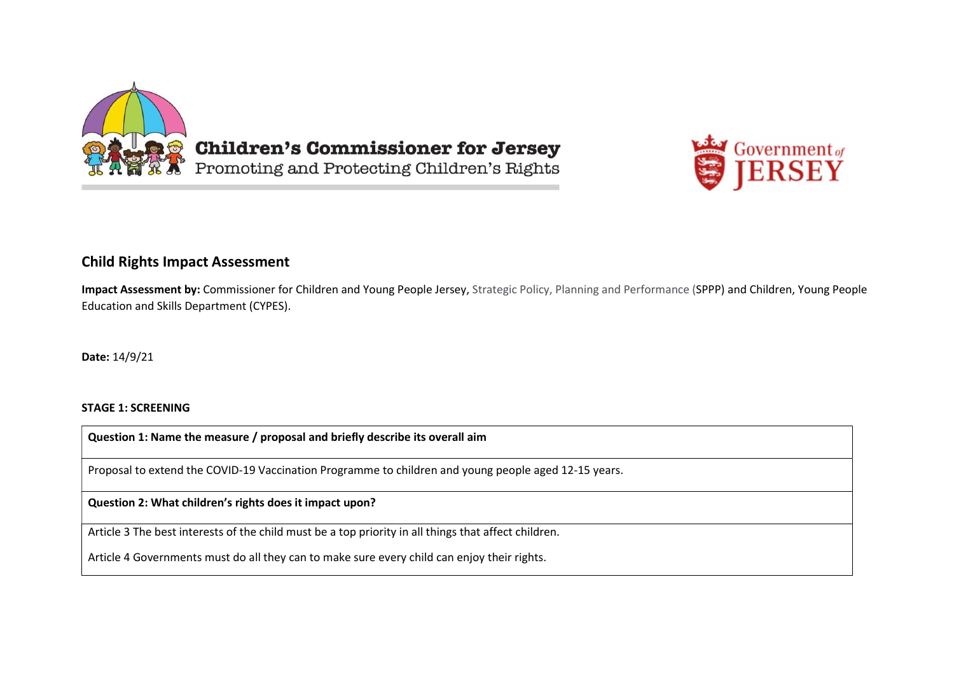



# Child Rights Impact Assessment

Impact Assessment by: Commissioner for Children and Young People Jersey, Strategic Policy, Planning and Performance (SPPP) and Children, Young People Education and Skills Department (CYPES).

Date: 14/9/21

#### STAGE 1: SCREENING

Question 1: Name the measure / proposal and briefly describe its overall aim

Proposal to extend the COVID-19 Vaccination Programme to children and young people aged 12-15 years.

Question 2: What children's rights does it impact upon?

Article 3 The best interests of the child must be a top priority in all things that affect children.

Article 4 Governments must do all they can to make sure every child can enjoy their rights.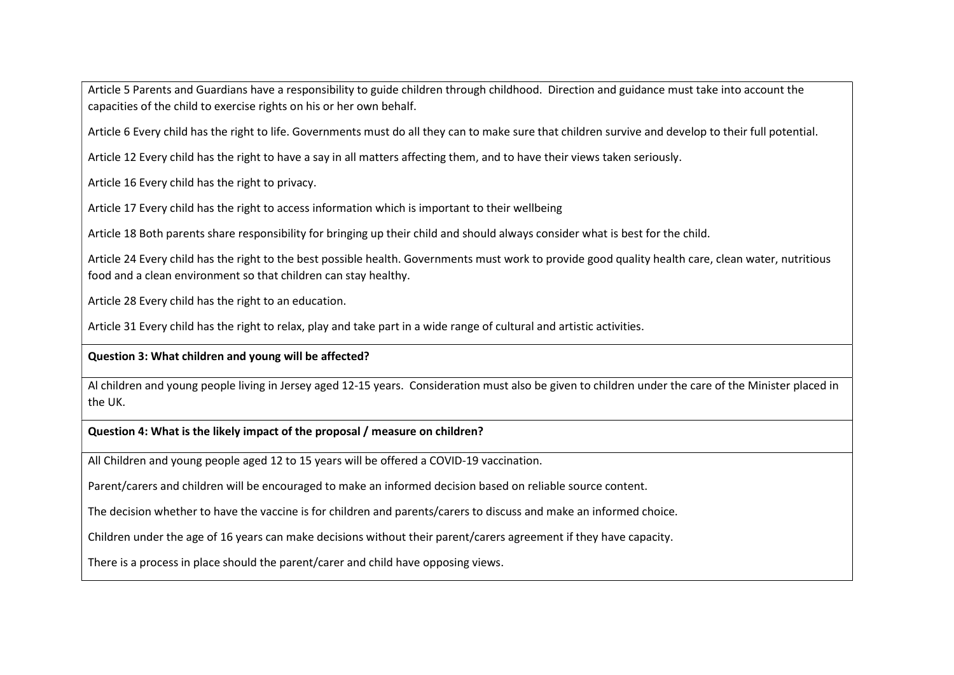Article 5 Parents and Guardians have a responsibility to guide children through childhood. Direction and guidance must take into account the capacities of the child to exercise rights on his or her own behalf.

Article 6 Every child has the right to life. Governments must do all they can to make sure that children survive and develop to their full potential.

Article 12 Every child has the right to have a say in all matters affecting them, and to have their views taken seriously.

Article 16 Every child has the right to privacy.

Article 17 Every child has the right to access information which is important to their wellbeing

Article 18 Both parents share responsibility for bringing up their child and should always consider what is best for the child.

Article 24 Every child has the right to the best possible health. Governments must work to provide good quality health care, clean water, nutritious food and a clean environment so that children can stay healthy.

Article 28 Every child has the right to an education.

Article 31 Every child has the right to relax, play and take part in a wide range of cultural and artistic activities.

# Question 3: What children and young will be affected?

Al children and young people living in Jersey aged 12-15 years. Consideration must also be given to children under the care of the Minister placed in the UK.

# Question 4: What is the likely impact of the proposal / measure on children?

All Children and young people aged 12 to 15 years will be offered a COVID-19 vaccination.

Parent/carers and children will be encouraged to make an informed decision based on reliable source content.

The decision whether to have the vaccine is for children and parents/carers to discuss and make an informed choice.

Children under the age of 16 years can make decisions without their parent/carers agreement if they have capacity.

There is a process in place should the parent/carer and child have opposing views.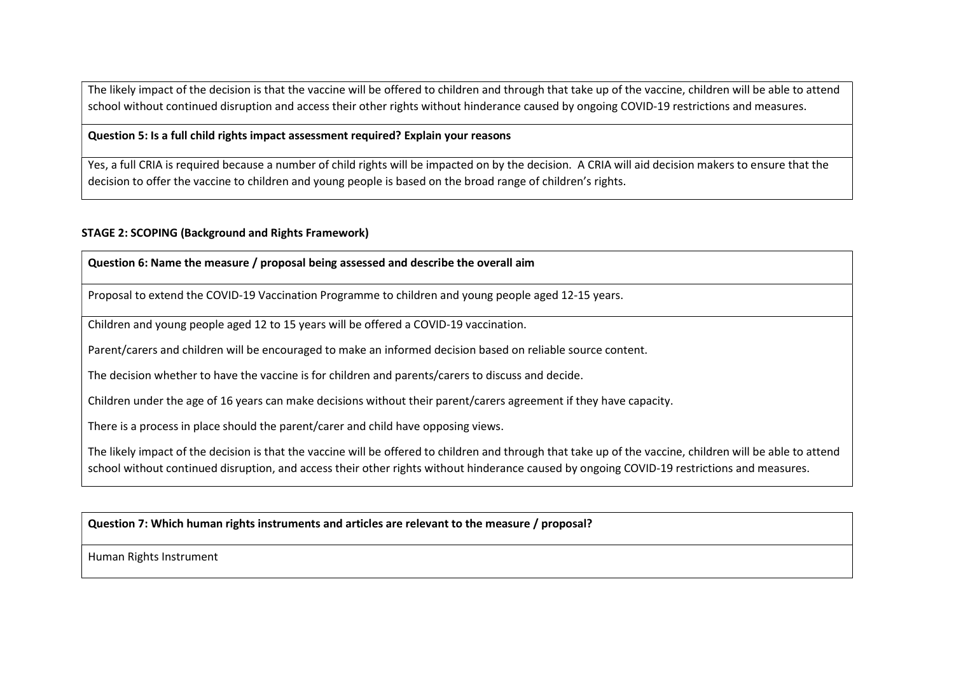The likely impact of the decision is that the vaccine will be offered to children and through that take up of the vaccine, children will be able to attend school without continued disruption and access their other rights without hinderance caused by ongoing COVID-19 restrictions and measures.

# Question 5: Is a full child rights impact assessment required? Explain your reasons

Yes, a full CRIA is required because a number of child rights will be impacted on by the decision. A CRIA will aid decision makers to ensure that the decision to offer the vaccine to children and young people is based on the broad range of children's rights.

#### STAGE 2: SCOPING (Background and Rights Framework)

#### Question 6: Name the measure / proposal being assessed and describe the overall aim

Proposal to extend the COVID-19 Vaccination Programme to children and young people aged 12-15 years.

Children and young people aged 12 to 15 years will be offered a COVID-19 vaccination.

Parent/carers and children will be encouraged to make an informed decision based on reliable source content.

The decision whether to have the vaccine is for children and parents/carers to discuss and decide.

Children under the age of 16 years can make decisions without their parent/carers agreement if they have capacity.

There is a process in place should the parent/carer and child have opposing views.

The likely impact of the decision is that the vaccine will be offered to children and through that take up of the vaccine, children will be able to attend school without continued disruption, and access their other rights without hinderance caused by ongoing COVID-19 restrictions and measures.

Question 7: Which human rights instruments and articles are relevant to the measure / proposal?

Human Rights Instrument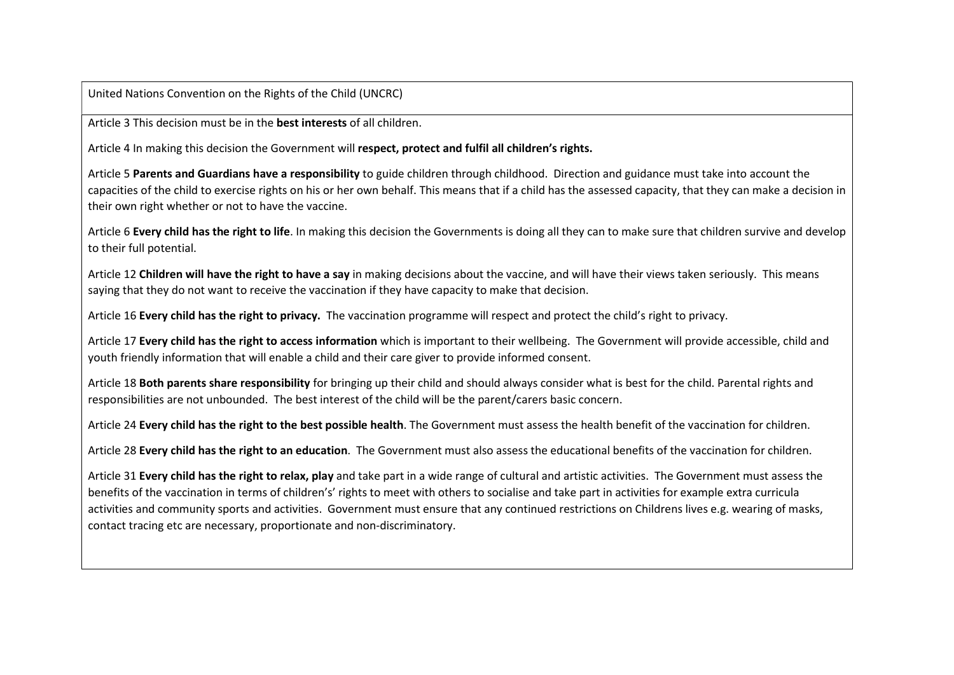United Nations Convention on the Rights of the Child (UNCRC)

Article 3 This decision must be in the best interests of all children.

Article 4 In making this decision the Government will respect, protect and fulfil all children's rights.

Article 5 Parents and Guardians have a responsibility to guide children through childhood. Direction and guidance must take into account the capacities of the child to exercise rights on his or her own behalf. This means that if a child has the assessed capacity, that they can make a decision in their own right whether or not to have the vaccine.

Article 6 Every child has the right to life. In making this decision the Governments is doing all they can to make sure that children survive and develop to their full potential.

Article 12 Children will have the right to have a say in making decisions about the vaccine, and will have their views taken seriously. This means saying that they do not want to receive the vaccination if they have capacity to make that decision.

Article 16 Every child has the right to privacy. The vaccination programme will respect and protect the child's right to privacy.

Article 17 Every child has the right to access information which is important to their wellbeing. The Government will provide accessible, child and youth friendly information that will enable a child and their care giver to provide informed consent.

Article 18 Both parents share responsibility for bringing up their child and should always consider what is best for the child. Parental rights and responsibilities are not unbounded. The best interest of the child will be the parent/carers basic concern.

Article 24 Every child has the right to the best possible health. The Government must assess the health benefit of the vaccination for children.

Article 28 Every child has the right to an education. The Government must also assess the educational benefits of the vaccination for children.

Article 31 Every child has the right to relax, play and take part in a wide range of cultural and artistic activities. The Government must assess the benefits of the vaccination in terms of children's' rights to meet with others to socialise and take part in activities for example extra curricula activities and community sports and activities. Government must ensure that any continued restrictions on Childrens lives e.g. wearing of masks, contact tracing etc are necessary, proportionate and non-discriminatory.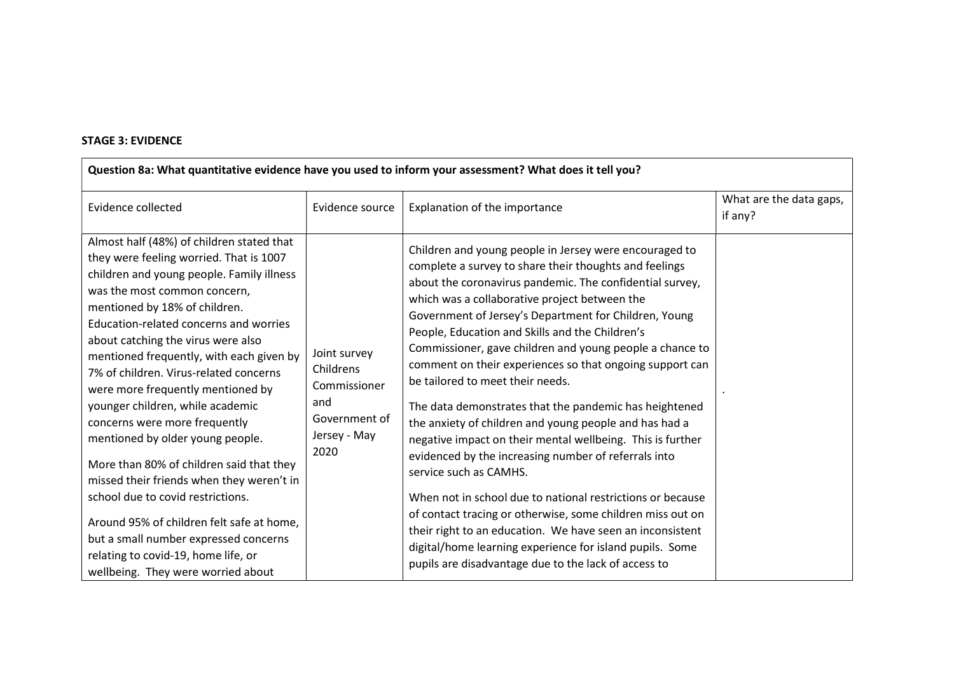# STAGE 3: EVIDENCE

| Question 8a: What quantitative evidence have you used to inform your assessment? What does it tell you?                                                                                                                                                                                                                                                                                                                                                                                                                                                                                                                                                                                                                                                                                                                 |                                                                                           |                                                                                                                                                                                                                                                                                                                                                                                                                                                                                                                                                                                                                                                                                                                                                                                                                                                                                                                                                                                                                                                                                        |                                    |  |  |
|-------------------------------------------------------------------------------------------------------------------------------------------------------------------------------------------------------------------------------------------------------------------------------------------------------------------------------------------------------------------------------------------------------------------------------------------------------------------------------------------------------------------------------------------------------------------------------------------------------------------------------------------------------------------------------------------------------------------------------------------------------------------------------------------------------------------------|-------------------------------------------------------------------------------------------|----------------------------------------------------------------------------------------------------------------------------------------------------------------------------------------------------------------------------------------------------------------------------------------------------------------------------------------------------------------------------------------------------------------------------------------------------------------------------------------------------------------------------------------------------------------------------------------------------------------------------------------------------------------------------------------------------------------------------------------------------------------------------------------------------------------------------------------------------------------------------------------------------------------------------------------------------------------------------------------------------------------------------------------------------------------------------------------|------------------------------------|--|--|
| Evidence collected                                                                                                                                                                                                                                                                                                                                                                                                                                                                                                                                                                                                                                                                                                                                                                                                      | Evidence source                                                                           | Explanation of the importance                                                                                                                                                                                                                                                                                                                                                                                                                                                                                                                                                                                                                                                                                                                                                                                                                                                                                                                                                                                                                                                          | What are the data gaps,<br>if any? |  |  |
| Almost half (48%) of children stated that<br>they were feeling worried. That is 1007<br>children and young people. Family illness<br>was the most common concern,<br>mentioned by 18% of children.<br>Education-related concerns and worries<br>about catching the virus were also<br>mentioned frequently, with each given by<br>7% of children. Virus-related concerns<br>were more frequently mentioned by<br>younger children, while academic<br>concerns were more frequently<br>mentioned by older young people.<br>More than 80% of children said that they<br>missed their friends when they weren't in<br>school due to covid restrictions.<br>Around 95% of children felt safe at home,<br>but a small number expressed concerns<br>relating to covid-19, home life, or<br>wellbeing. They were worried about | Joint survey<br>Childrens<br>Commissioner<br>and<br>Government of<br>Jersey - May<br>2020 | Children and young people in Jersey were encouraged to<br>complete a survey to share their thoughts and feelings<br>about the coronavirus pandemic. The confidential survey,<br>which was a collaborative project between the<br>Government of Jersey's Department for Children, Young<br>People, Education and Skills and the Children's<br>Commissioner, gave children and young people a chance to<br>comment on their experiences so that ongoing support can<br>be tailored to meet their needs.<br>The data demonstrates that the pandemic has heightened<br>the anxiety of children and young people and has had a<br>negative impact on their mental wellbeing. This is further<br>evidenced by the increasing number of referrals into<br>service such as CAMHS.<br>When not in school due to national restrictions or because<br>of contact tracing or otherwise, some children miss out on<br>their right to an education. We have seen an inconsistent<br>digital/home learning experience for island pupils. Some<br>pupils are disadvantage due to the lack of access to |                                    |  |  |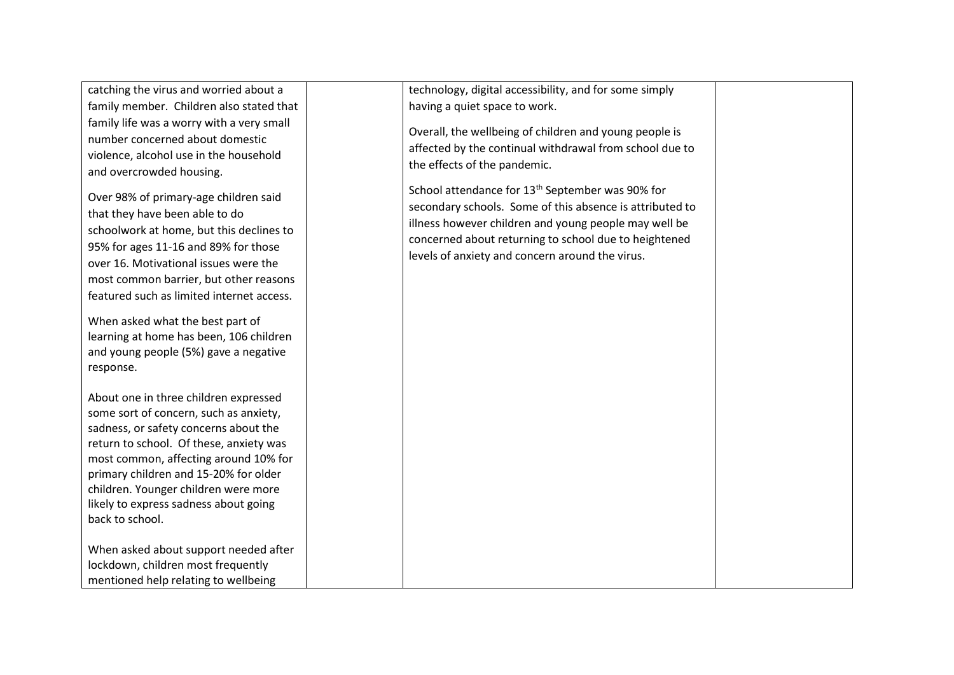catching the virus and worried about a family member. Children also stated that family life was a worry with a very small number concerned about domestic violence, alcohol use in the household and overcrowded housing.

Over 98% of primary-age children said that they have been able to do schoolwork at home, but this declines to 95% for ages 11-16 and 89% for those over 16. Motivational issues were the most common barrier, but other reasons featured such as limited internet access.

When asked what the best part of learning at home has been, 106 children and young people (5%) gave a negative response.

About one in three children expressed some sort of concern, such as anxiety, sadness, or safety concerns about the return to school. Of these, anxiety was most common, affecting around 10% for primary children and 15-20% for older children. Younger children were more likely to express sadness about going back to school.

When asked about support needed after lockdown, children most frequently mentioned help relating to wellbeing

technology, digital accessibility, and for some simply having a quiet space to work.

Overall, the wellbeing of children and young people is affected by the continual withdrawal from school due to the effects of the pandemic.

School attendance for 13<sup>th</sup> September was 90% for secondary schools. Some of this absence is attributed to illness however children and young people may well be concerned about returning to school due to heightened levels of anxiety and concern around the virus.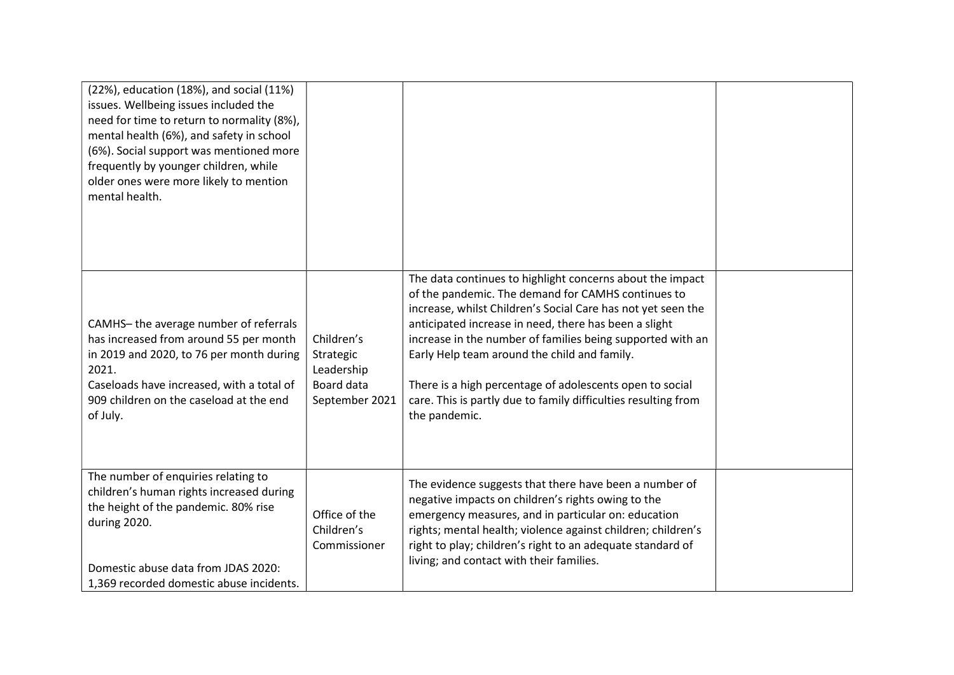| (22%), education (18%), and social (11%)<br>issues. Wellbeing issues included the<br>need for time to return to normality (8%),<br>mental health (6%), and safety in school<br>(6%). Social support was mentioned more<br>frequently by younger children, while<br>older ones were more likely to mention<br>mental health. |                                                                       |                                                                                                                                                                                                                                                                                                                                                                                                                                                                                                       |  |
|-----------------------------------------------------------------------------------------------------------------------------------------------------------------------------------------------------------------------------------------------------------------------------------------------------------------------------|-----------------------------------------------------------------------|-------------------------------------------------------------------------------------------------------------------------------------------------------------------------------------------------------------------------------------------------------------------------------------------------------------------------------------------------------------------------------------------------------------------------------------------------------------------------------------------------------|--|
| CAMHS-the average number of referrals<br>has increased from around 55 per month<br>in 2019 and 2020, to 76 per month during<br>2021.<br>Caseloads have increased, with a total of<br>909 children on the caseload at the end<br>of July.                                                                                    | Children's<br>Strategic<br>Leadership<br>Board data<br>September 2021 | The data continues to highlight concerns about the impact<br>of the pandemic. The demand for CAMHS continues to<br>increase, whilst Children's Social Care has not yet seen the<br>anticipated increase in need, there has been a slight<br>increase in the number of families being supported with an<br>Early Help team around the child and family.<br>There is a high percentage of adolescents open to social<br>care. This is partly due to family difficulties resulting from<br>the pandemic. |  |
| The number of enquiries relating to<br>children's human rights increased during<br>the height of the pandemic. 80% rise<br>during 2020.<br>Domestic abuse data from JDAS 2020:<br>1,369 recorded domestic abuse incidents.                                                                                                  | Office of the<br>Children's<br>Commissioner                           | The evidence suggests that there have been a number of<br>negative impacts on children's rights owing to the<br>emergency measures, and in particular on: education<br>rights; mental health; violence against children; children's<br>right to play; children's right to an adequate standard of<br>living; and contact with their families.                                                                                                                                                         |  |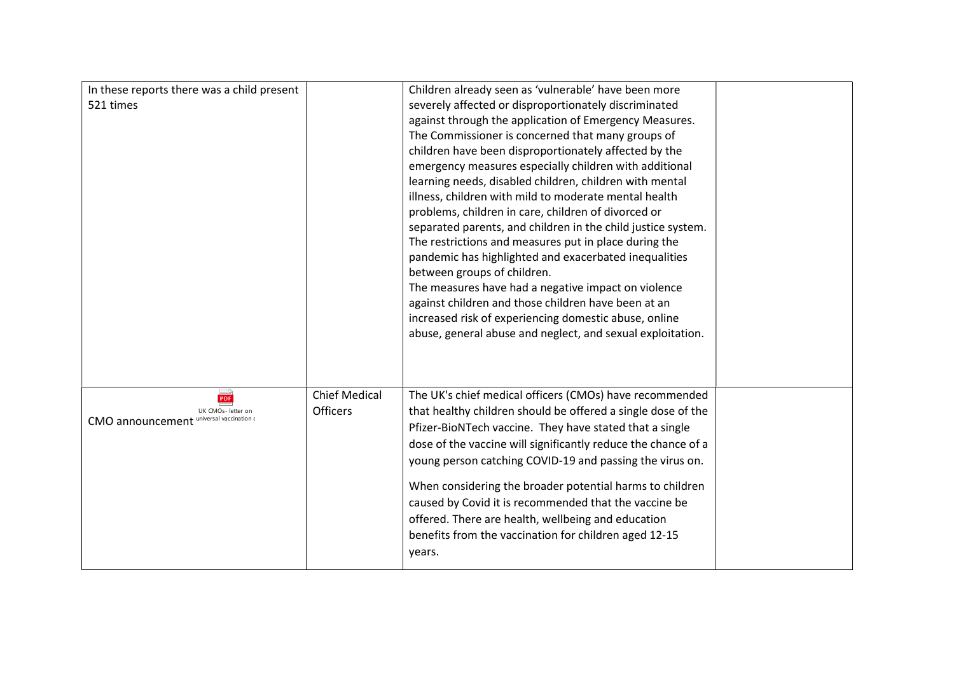| In these reports there was a child present                     |                      | Children already seen as 'vulnerable' have been more          |  |
|----------------------------------------------------------------|----------------------|---------------------------------------------------------------|--|
| 521 times                                                      |                      | severely affected or disproportionately discriminated         |  |
|                                                                |                      | against through the application of Emergency Measures.        |  |
|                                                                |                      | The Commissioner is concerned that many groups of             |  |
|                                                                |                      | children have been disproportionately affected by the         |  |
|                                                                |                      | emergency measures especially children with additional        |  |
|                                                                |                      | learning needs, disabled children, children with mental       |  |
|                                                                |                      | illness, children with mild to moderate mental health         |  |
|                                                                |                      | problems, children in care, children of divorced or           |  |
|                                                                |                      | separated parents, and children in the child justice system.  |  |
|                                                                |                      | The restrictions and measures put in place during the         |  |
|                                                                |                      | pandemic has highlighted and exacerbated inequalities         |  |
|                                                                |                      | between groups of children.                                   |  |
|                                                                |                      | The measures have had a negative impact on violence           |  |
|                                                                |                      | against children and those children have been at an           |  |
|                                                                |                      | increased risk of experiencing domestic abuse, online         |  |
|                                                                |                      | abuse, general abuse and neglect, and sexual exploitation.    |  |
|                                                                |                      |                                                               |  |
|                                                                |                      |                                                               |  |
|                                                                |                      |                                                               |  |
| PDF                                                            | <b>Chief Medical</b> | The UK's chief medical officers (CMOs) have recommended       |  |
| UK CMOs- letter on<br>CMO announcement universal vaccination o | <b>Officers</b>      | that healthy children should be offered a single dose of the  |  |
|                                                                |                      | Pfizer-BioNTech vaccine. They have stated that a single       |  |
|                                                                |                      | dose of the vaccine will significantly reduce the chance of a |  |
|                                                                |                      | young person catching COVID-19 and passing the virus on.      |  |
|                                                                |                      | When considering the broader potential harms to children      |  |
|                                                                |                      | caused by Covid it is recommended that the vaccine be         |  |
|                                                                |                      | offered. There are health, wellbeing and education            |  |
|                                                                |                      | benefits from the vaccination for children aged 12-15         |  |
|                                                                |                      | years.                                                        |  |
|                                                                |                      |                                                               |  |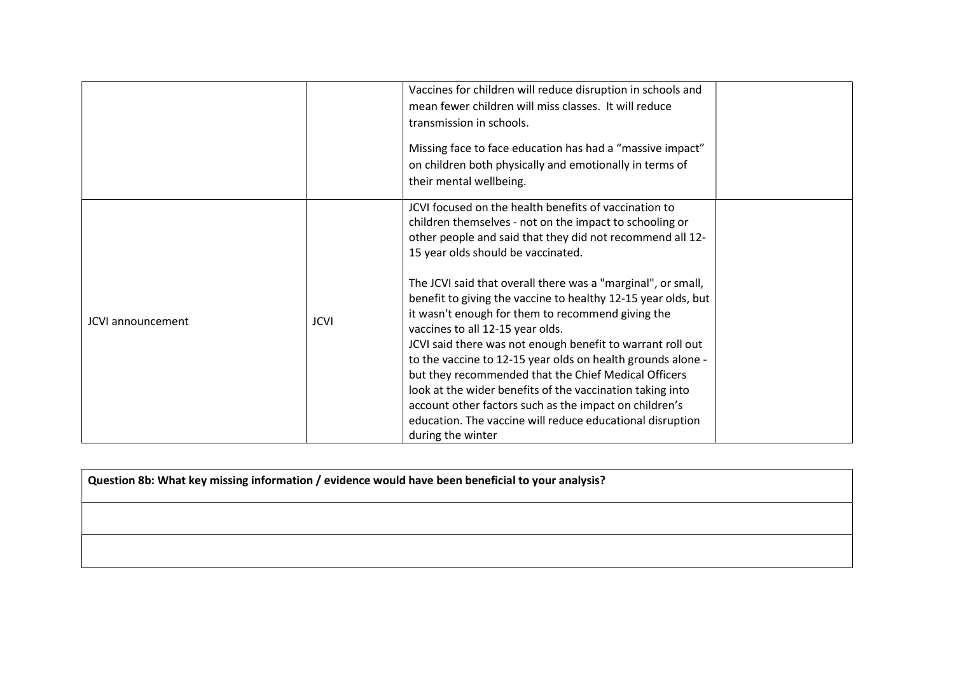|                          |      | Vaccines for children will reduce disruption in schools and<br>mean fewer children will miss classes. It will reduce<br>transmission in schools.<br>Missing face to face education has had a "massive impact"<br>on children both physically and emotionally in terms of<br>their mental wellbeing.                                                                                                                                                                                                                                                                                                                                                                                                                                                                                                                                         |  |
|--------------------------|------|---------------------------------------------------------------------------------------------------------------------------------------------------------------------------------------------------------------------------------------------------------------------------------------------------------------------------------------------------------------------------------------------------------------------------------------------------------------------------------------------------------------------------------------------------------------------------------------------------------------------------------------------------------------------------------------------------------------------------------------------------------------------------------------------------------------------------------------------|--|
| <b>JCVI</b> announcement | JCVI | JCVI focused on the health benefits of vaccination to<br>children themselves - not on the impact to schooling or<br>other people and said that they did not recommend all 12-<br>15 year olds should be vaccinated.<br>The JCVI said that overall there was a "marginal", or small,<br>benefit to giving the vaccine to healthy 12-15 year olds, but<br>it wasn't enough for them to recommend giving the<br>vaccines to all 12-15 year olds.<br>JCVI said there was not enough benefit to warrant roll out<br>to the vaccine to 12-15 year olds on health grounds alone -<br>but they recommended that the Chief Medical Officers<br>look at the wider benefits of the vaccination taking into<br>account other factors such as the impact on children's<br>education. The vaccine will reduce educational disruption<br>during the winter |  |

| Question 8b: What key missing information / evidence would have been beneficial to your analysis? |  |  |  |  |
|---------------------------------------------------------------------------------------------------|--|--|--|--|
|                                                                                                   |  |  |  |  |
|                                                                                                   |  |  |  |  |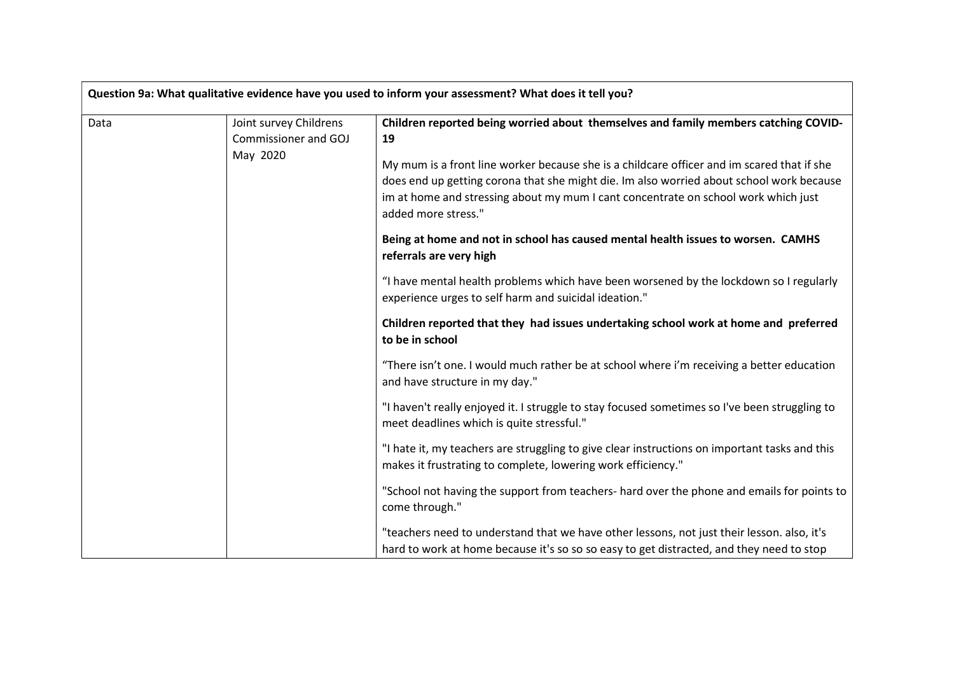|      |                                                | Question 9a: What qualitative evidence have you used to inform your assessment? What does it tell you?                                                                                                                                                                                              |
|------|------------------------------------------------|-----------------------------------------------------------------------------------------------------------------------------------------------------------------------------------------------------------------------------------------------------------------------------------------------------|
| Data | Joint survey Childrens<br>Commissioner and GOJ | Children reported being worried about themselves and family members catching COVID-<br>19                                                                                                                                                                                                           |
|      | May 2020                                       | My mum is a front line worker because she is a childcare officer and im scared that if she<br>does end up getting corona that she might die. Im also worried about school work because<br>im at home and stressing about my mum I cant concentrate on school work which just<br>added more stress." |
|      |                                                | Being at home and not in school has caused mental health issues to worsen. CAMHS<br>referrals are very high                                                                                                                                                                                         |
|      |                                                | "I have mental health problems which have been worsened by the lockdown so I regularly<br>experience urges to self harm and suicidal ideation."                                                                                                                                                     |
|      |                                                | Children reported that they had issues undertaking school work at home and preferred<br>to be in school                                                                                                                                                                                             |
|      |                                                | "There isn't one. I would much rather be at school where i'm receiving a better education<br>and have structure in my day."                                                                                                                                                                         |
|      |                                                | "I haven't really enjoyed it. I struggle to stay focused sometimes so I've been struggling to<br>meet deadlines which is quite stressful."                                                                                                                                                          |
|      |                                                | "I hate it, my teachers are struggling to give clear instructions on important tasks and this<br>makes it frustrating to complete, lowering work efficiency."                                                                                                                                       |
|      |                                                | "School not having the support from teachers- hard over the phone and emails for points to<br>come through."                                                                                                                                                                                        |
|      |                                                | "teachers need to understand that we have other lessons, not just their lesson. also, it's<br>hard to work at home because it's so so so easy to get distracted, and they need to stop                                                                                                              |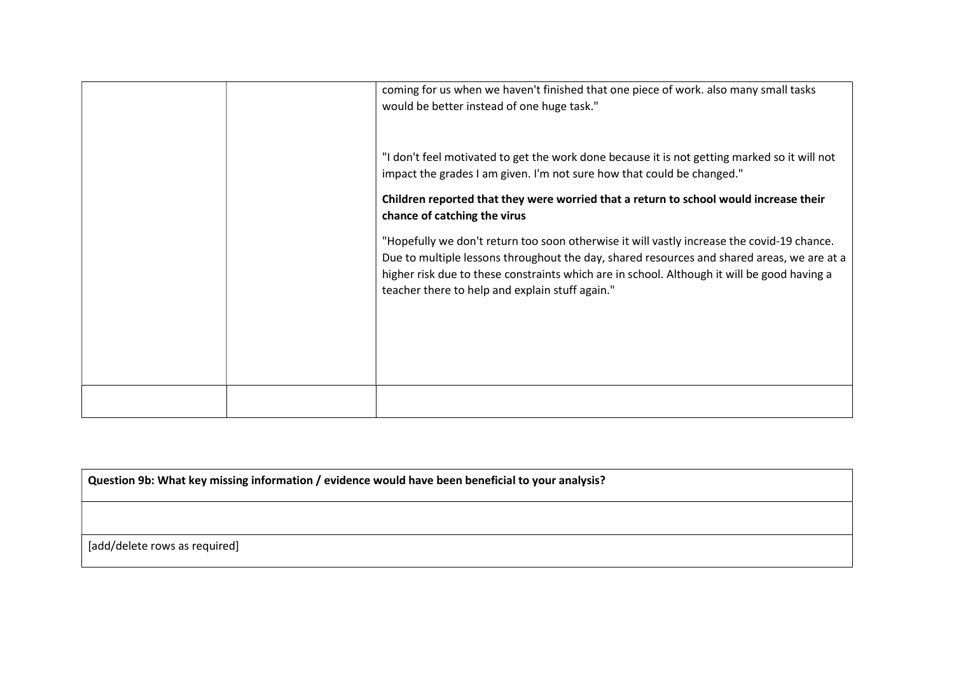|  | coming for us when we haven't finished that one piece of work. also many small tasks<br>would be better instead of one huge task."                                                                                                                                                                                                         |
|--|--------------------------------------------------------------------------------------------------------------------------------------------------------------------------------------------------------------------------------------------------------------------------------------------------------------------------------------------|
|  | "I don't feel motivated to get the work done because it is not getting marked so it will not<br>impact the grades I am given. I'm not sure how that could be changed."                                                                                                                                                                     |
|  | Children reported that they were worried that a return to school would increase their<br>chance of catching the virus                                                                                                                                                                                                                      |
|  | "Hopefully we don't return too soon otherwise it will vastly increase the covid-19 chance.<br>Due to multiple lessons throughout the day, shared resources and shared areas, we are at a<br>higher risk due to these constraints which are in school. Although it will be good having a<br>teacher there to help and explain stuff again." |
|  |                                                                                                                                                                                                                                                                                                                                            |
|  |                                                                                                                                                                                                                                                                                                                                            |

Question 9b: What key missing information / evidence would have been beneficial to your analysis?

[add/delete rows as required]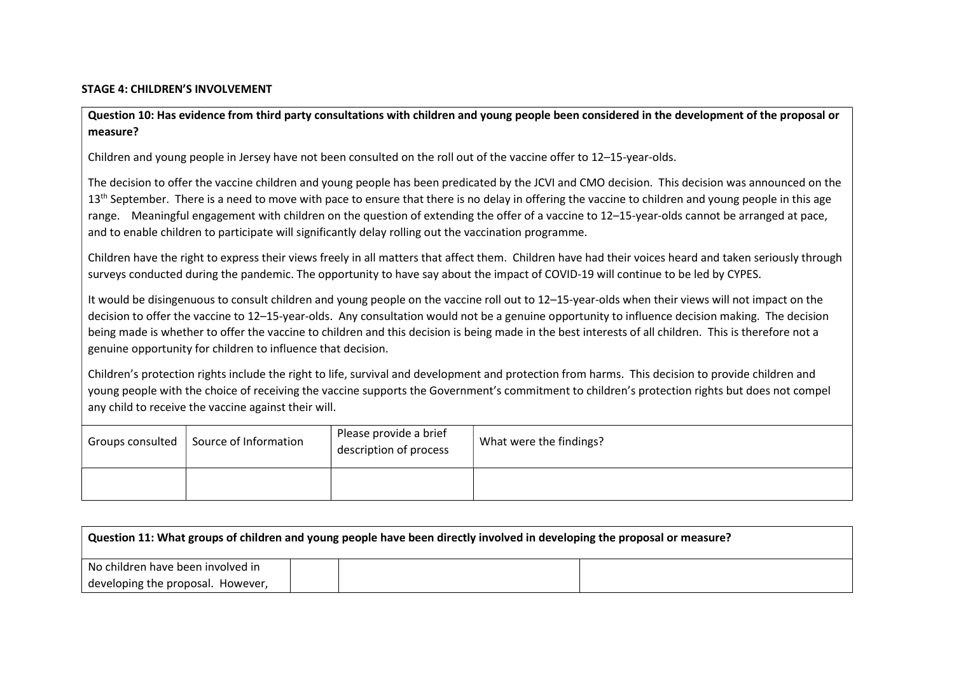#### STAGE 4: CHILDREN'S INVOLVEMENT

Question 10: Has evidence from third party consultations with children and young people been considered in the development of the proposal or measure?

Children and young people in Jersey have not been consulted on the roll out of the vaccine offer to 12–15-year-olds.

The decision to offer the vaccine children and young people has been predicated by the JCVI and CMO decision. This decision was announced on the 13<sup>th</sup> September. There is a need to move with pace to ensure that there is no delay in offering the vaccine to children and young people in this age range. Meaningful engagement with children on the question of extending the offer of a vaccine to 12–15-year-olds cannot be arranged at pace, and to enable children to participate will significantly delay rolling out the vaccination programme.

Children have the right to express their views freely in all matters that affect them. Children have had their voices heard and taken seriously through surveys conducted during the pandemic. The opportunity to have say about the impact of COVID-19 will continue to be led by CYPES.

It would be disingenuous to consult children and young people on the vaccine roll out to 12–15-year-olds when their views will not impact on the decision to offer the vaccine to 12–15-year-olds. Any consultation would not be a genuine opportunity to influence decision making. The decision being made is whether to offer the vaccine to children and this decision is being made in the best interests of all children. This is therefore not a genuine opportunity for children to influence that decision.

Children's protection rights include the right to life, survival and development and protection from harms. This decision to provide children and young people with the choice of receiving the vaccine supports the Government's commitment to children's protection rights but does not compel any child to receive the vaccine against their will.

| Groups consulted | Source of Information | Please provide a brief<br>description of process | What were the findings? |
|------------------|-----------------------|--------------------------------------------------|-------------------------|
|                  |                       |                                                  |                         |

| Question 11: What groups of children and young people have been directly involved in developing the proposal or measure? |  |  |  |  |
|--------------------------------------------------------------------------------------------------------------------------|--|--|--|--|
| No children have been involved in                                                                                        |  |  |  |  |
| developing the proposal. However,                                                                                        |  |  |  |  |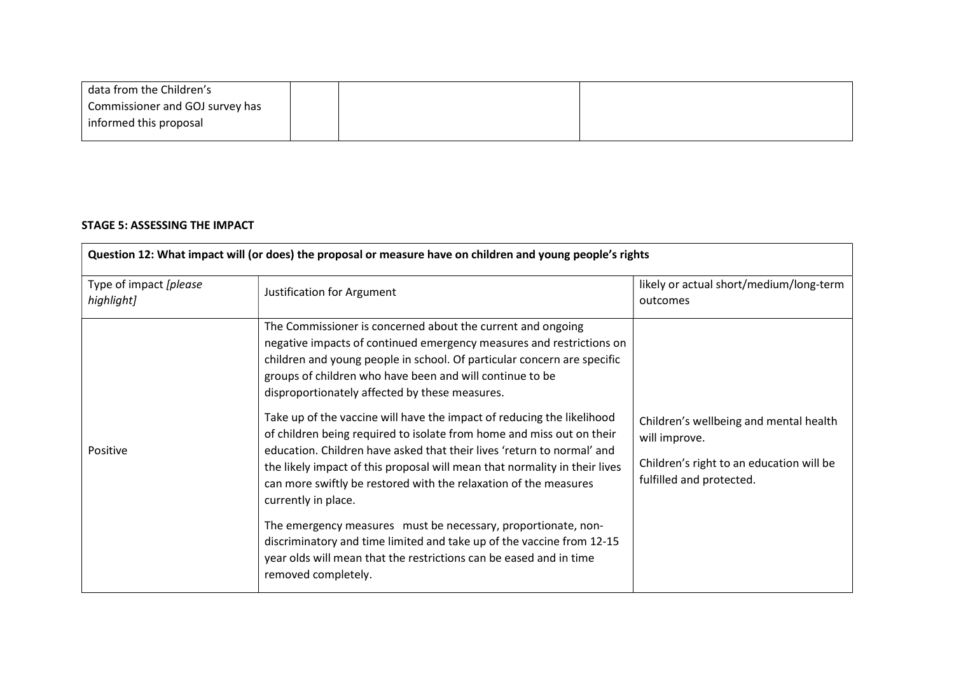| data from the Children's        |  |  |
|---------------------------------|--|--|
| Commissioner and GOJ survey has |  |  |
| informed this proposal          |  |  |

# STAGE 5: ASSESSING THE IMPACT

| Question 12: What impact will (or does) the proposal or measure have on children and young people's rights |                                                                                                                                                                                                                                                                                                                                                                                                                                                                                                                                                                                                                                                                                                                                                                                                                                                                                                                                                                           |                                                                                                                                 |  |  |  |
|------------------------------------------------------------------------------------------------------------|---------------------------------------------------------------------------------------------------------------------------------------------------------------------------------------------------------------------------------------------------------------------------------------------------------------------------------------------------------------------------------------------------------------------------------------------------------------------------------------------------------------------------------------------------------------------------------------------------------------------------------------------------------------------------------------------------------------------------------------------------------------------------------------------------------------------------------------------------------------------------------------------------------------------------------------------------------------------------|---------------------------------------------------------------------------------------------------------------------------------|--|--|--|
| Type of impact [please<br>highlight]                                                                       | Justification for Argument                                                                                                                                                                                                                                                                                                                                                                                                                                                                                                                                                                                                                                                                                                                                                                                                                                                                                                                                                | likely or actual short/medium/long-term<br>outcomes                                                                             |  |  |  |
| Positive                                                                                                   | The Commissioner is concerned about the current and ongoing<br>negative impacts of continued emergency measures and restrictions on<br>children and young people in school. Of particular concern are specific<br>groups of children who have been and will continue to be<br>disproportionately affected by these measures.<br>Take up of the vaccine will have the impact of reducing the likelihood<br>of children being required to isolate from home and miss out on their<br>education. Children have asked that their lives 'return to normal' and<br>the likely impact of this proposal will mean that normality in their lives<br>can more swiftly be restored with the relaxation of the measures<br>currently in place.<br>The emergency measures must be necessary, proportionate, non-<br>discriminatory and time limited and take up of the vaccine from 12-15<br>year olds will mean that the restrictions can be eased and in time<br>removed completely. | Children's wellbeing and mental health<br>will improve.<br>Children's right to an education will be<br>fulfilled and protected. |  |  |  |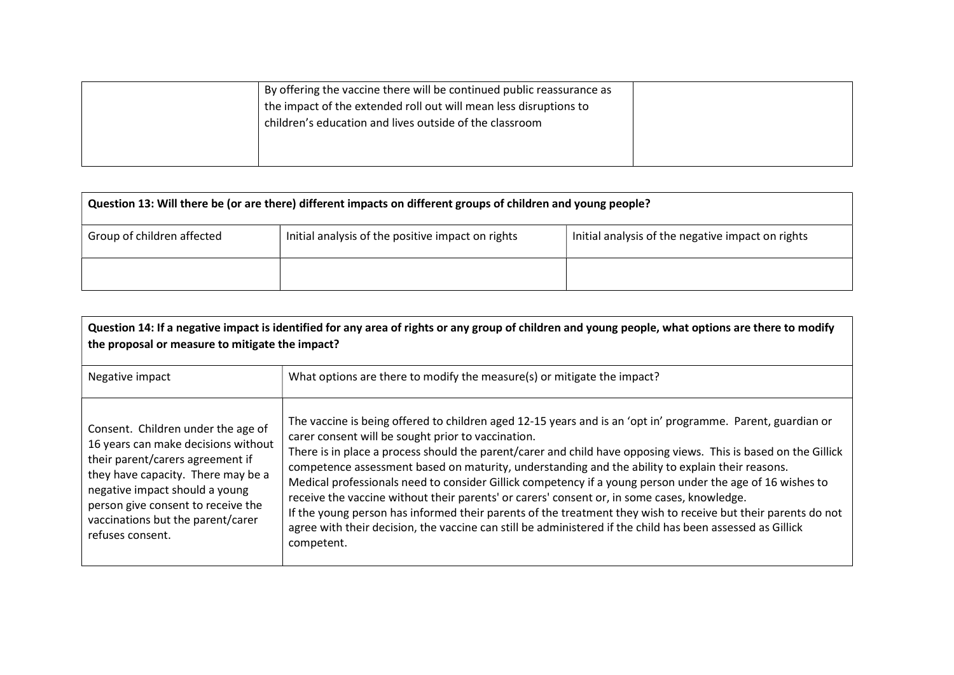| By offering the vaccine there will be continued public reassurance as |  |
|-----------------------------------------------------------------------|--|
|                                                                       |  |
| the impact of the extended roll out will mean less disruptions to     |  |
| children's education and lives outside of the classroom               |  |
|                                                                       |  |
|                                                                       |  |

| Question 13: Will there be (or are there) different impacts on different groups of children and young people? |                                                   |                                                   |  |
|---------------------------------------------------------------------------------------------------------------|---------------------------------------------------|---------------------------------------------------|--|
| Group of children affected                                                                                    | Initial analysis of the positive impact on rights | Initial analysis of the negative impact on rights |  |
|                                                                                                               |                                                   |                                                   |  |

| Question 14: If a negative impact is identified for any area of rights or any group of children and young people, what options are there to modify<br>the proposal or measure to mitigate the impact?                                                                                |                                                                                                                                                                                                                                                                                                                                                                                                                                                                                                                                                                                                                                                                                                                                                                                                                                                   |  |
|--------------------------------------------------------------------------------------------------------------------------------------------------------------------------------------------------------------------------------------------------------------------------------------|---------------------------------------------------------------------------------------------------------------------------------------------------------------------------------------------------------------------------------------------------------------------------------------------------------------------------------------------------------------------------------------------------------------------------------------------------------------------------------------------------------------------------------------------------------------------------------------------------------------------------------------------------------------------------------------------------------------------------------------------------------------------------------------------------------------------------------------------------|--|
| Negative impact                                                                                                                                                                                                                                                                      | What options are there to modify the measure(s) or mitigate the impact?                                                                                                                                                                                                                                                                                                                                                                                                                                                                                                                                                                                                                                                                                                                                                                           |  |
| Consent. Children under the age of<br>16 years can make decisions without<br>their parent/carers agreement if<br>they have capacity. There may be a<br>negative impact should a young<br>person give consent to receive the<br>vaccinations but the parent/carer<br>refuses consent. | The vaccine is being offered to children aged 12-15 years and is an 'opt in' programme. Parent, guardian or<br>carer consent will be sought prior to vaccination.<br>There is in place a process should the parent/carer and child have opposing views. This is based on the Gillick<br>competence assessment based on maturity, understanding and the ability to explain their reasons.<br>Medical professionals need to consider Gillick competency if a young person under the age of 16 wishes to<br>receive the vaccine without their parents' or carers' consent or, in some cases, knowledge.<br>If the young person has informed their parents of the treatment they wish to receive but their parents do not<br>agree with their decision, the vaccine can still be administered if the child has been assessed as Gillick<br>competent. |  |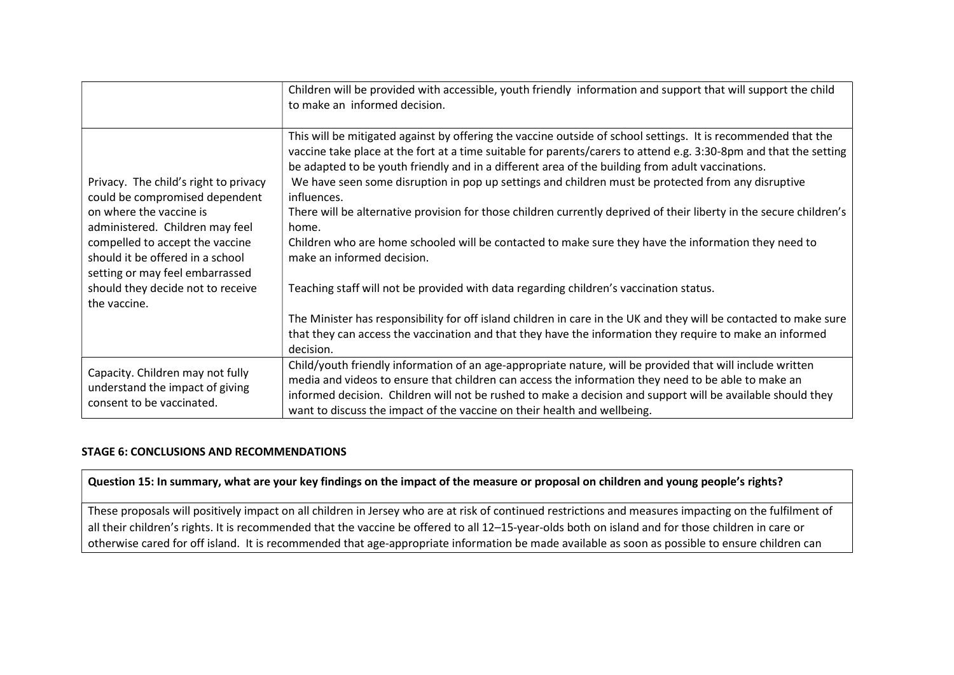|                                                                                                                                                                                                                                                                                                      | Children will be provided with accessible, youth friendly information and support that will support the child<br>to make an informed decision.                                                                                                                                                                                                                                                                                                                                                                                                                                                                                                                                                                                                                                                                                                                                                                                                   |
|------------------------------------------------------------------------------------------------------------------------------------------------------------------------------------------------------------------------------------------------------------------------------------------------------|--------------------------------------------------------------------------------------------------------------------------------------------------------------------------------------------------------------------------------------------------------------------------------------------------------------------------------------------------------------------------------------------------------------------------------------------------------------------------------------------------------------------------------------------------------------------------------------------------------------------------------------------------------------------------------------------------------------------------------------------------------------------------------------------------------------------------------------------------------------------------------------------------------------------------------------------------|
| Privacy. The child's right to privacy<br>could be compromised dependent<br>on where the vaccine is<br>administered. Children may feel<br>compelled to accept the vaccine<br>should it be offered in a school<br>setting or may feel embarrassed<br>should they decide not to receive<br>the vaccine. | This will be mitigated against by offering the vaccine outside of school settings. It is recommended that the<br>vaccine take place at the fort at a time suitable for parents/carers to attend e.g. 3:30-8pm and that the setting<br>be adapted to be youth friendly and in a different area of the building from adult vaccinations.<br>We have seen some disruption in pop up settings and children must be protected from any disruptive<br>influences.<br>There will be alternative provision for those children currently deprived of their liberty in the secure children's<br>home.<br>Children who are home schooled will be contacted to make sure they have the information they need to<br>make an informed decision.<br>Teaching staff will not be provided with data regarding children's vaccination status.<br>The Minister has responsibility for off island children in care in the UK and they will be contacted to make sure |
|                                                                                                                                                                                                                                                                                                      | that they can access the vaccination and that they have the information they require to make an informed<br>decision.                                                                                                                                                                                                                                                                                                                                                                                                                                                                                                                                                                                                                                                                                                                                                                                                                            |
| Capacity. Children may not fully<br>understand the impact of giving<br>consent to be vaccinated.                                                                                                                                                                                                     | Child/youth friendly information of an age-appropriate nature, will be provided that will include written<br>media and videos to ensure that children can access the information they need to be able to make an<br>informed decision. Children will not be rushed to make a decision and support will be available should they<br>want to discuss the impact of the vaccine on their health and wellbeing.                                                                                                                                                                                                                                                                                                                                                                                                                                                                                                                                      |

# STAGE 6: CONCLUSIONS AND RECOMMENDATIONS

# Question 15: In summary, what are your key findings on the impact of the measure or proposal on children and young people's rights?

These proposals will positively impact on all children in Jersey who are at risk of continued restrictions and measures impacting on the fulfilment of all their children's rights. It is recommended that the vaccine be offered to all 12–15-year-olds both on island and for those children in care or otherwise cared for off island. It is recommended that age-appropriate information be made available as soon as possible to ensure children can